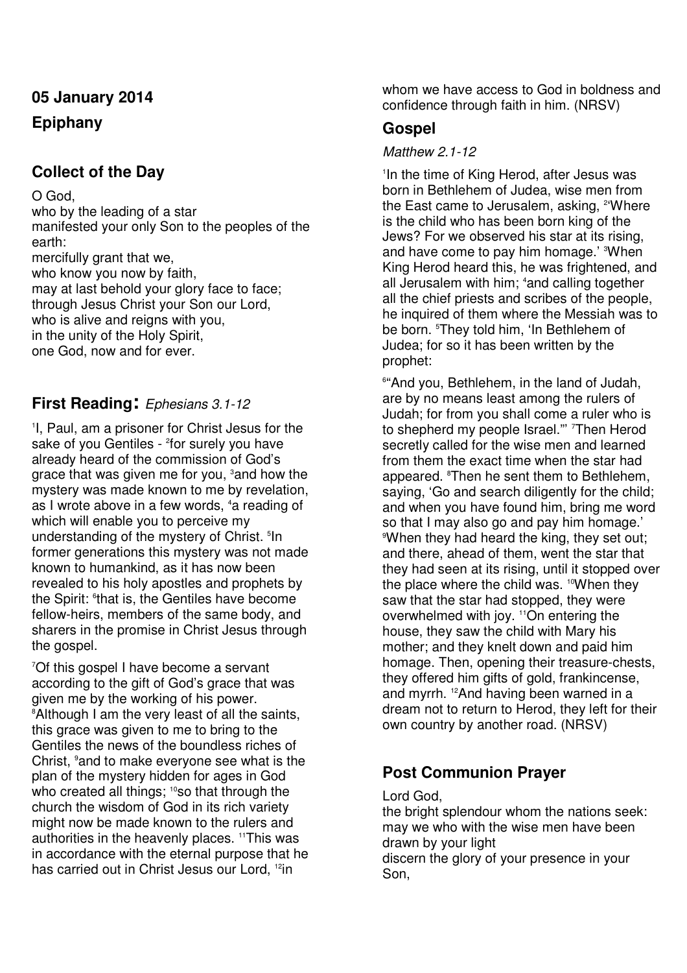# **05 January 2014 Epiphany**

## **Collect of the Day**

O God,

who by the leading of a star manifested your only Son to the peoples of the earth: mercifully grant that we, who know you now by faith, may at last behold your glory face to face; through Jesus Christ your Son our Lord, who is alive and reigns with you, in the unity of the Holy Spirit, one God, now and for ever.

### **First Reading:** Ephesians 3.1-12

1 I, Paul, am a prisoner for Christ Jesus for the sake of you Gentiles - <sup>2</sup>for surely you have already heard of the commission of God's grace that was given me for you, <sup>3</sup> and how the mystery was made known to me by revelation, as I wrote above in a few words, <sup>4</sup>a reading of which will enable you to perceive my understanding of the mystery of Christ.<sup>5</sup> In former generations this mystery was not made known to humankind, as it has now been revealed to his holy apostles and prophets by the Spirit: <sup>6</sup>that is, the Gentiles have become fellow-heirs, members of the same body, and sharers in the promise in Christ Jesus through the gospel.

<sup>7</sup>Of this gospel I have become a servant according to the gift of God's grace that was given me by the working of his power. <sup>8</sup> Although I am the very least of all the saints, this grace was given to me to bring to the Gentiles the news of the boundless riches of Christ, <sup>9</sup> and to make everyone see what is the plan of the mystery hidden for ages in God who created all things; <sup>10</sup>so that through the church the wisdom of God in its rich variety might now be made known to the rulers and authorities in the heavenly places. <sup>11</sup>This was in accordance with the eternal purpose that he has carried out in Christ Jesus our Lord, <sup>12</sup>in

whom we have access to God in boldness and confidence through faith in him. (NRSV)

### **Gospel**

#### Matthew 2.1-12

1 In the time of King Herod, after Jesus was born in Bethlehem of Judea, wise men from the East came to Jerusalem, asking, <sup>2</sup>'Where is the child who has been born king of the Jews? For we observed his star at its rising, and have come to pay him homage.' 3When King Herod heard this, he was frightened, and all Jerusalem with him; 4and calling together all the chief priests and scribes of the people, he inquired of them where the Messiah was to be born. <sup>5</sup>They told him, 'In Bethlehem of Judea; for so it has been written by the prophet:

6 "And you, Bethlehem, in the land of Judah, are by no means least among the rulers of Judah; for from you shall come a ruler who is to shepherd my people Israel." Then Herod secretly called for the wise men and learned from them the exact time when the star had appeared. <sup>8</sup>Then he sent them to Bethlehem. saying, 'Go and search diligently for the child; and when you have found him, bring me word so that I may also go and pay him homage.' <sup>9</sup>When they had heard the king, they set out; and there, ahead of them, went the star that they had seen at its rising, until it stopped over the place where the child was. <sup>10</sup>When they saw that the star had stopped, they were overwhelmed with joy. <sup>11</sup>On entering the house, they saw the child with Mary his mother; and they knelt down and paid him homage. Then, opening their treasure-chests, they offered him gifts of gold, frankincense, and myrrh. 12And having been warned in a dream not to return to Herod, they left for their own country by another road. (NRSV)

### **Post Communion Prayer**

Lord God,

the bright splendour whom the nations seek: may we who with the wise men have been drawn by your light discern the glory of your presence in your Son,